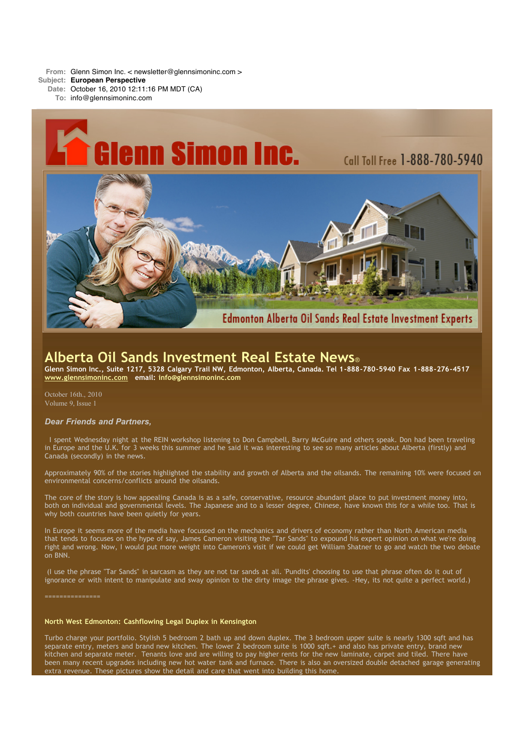**From:** Glenn Simon Inc. < newsletter@glennsimoninc.com >

- **Subject: European Perspective**
	- **Date:** October 16, 2010 12:11:16 PM MDT (CA)
		- **To:** info@glennsimoninc.com



# **Alberta Oil Sands Investment Real Estate News**®

Glenn Simon Inc., Suite 1217, 5328 Calgary Trail NW, Edmonton, Alberta, Canada. Tel 1-888-780-5940 Fax 1-888-276-4517 **[www.glennsimoninc.com](http://www.glennsimoninc.com/) email: [info@glennsimoninc.com](mailto:info@glennsimoninc.com)**

October 16th., 2010 Volume 9, Issue 1

### *Dear Friends and Partners,*

I spent Wednesday night at the REIN workshop listening to Don Campbell, Barry McGuire and others speak. Don had been traveling in Europe and the U.K. for 3 weeks this summer and he said it was interesting to see so many articles about Alberta (firstly) and Canada (secondly) in the news.

Approximately 90% of the stories highlighted the stability and growth of Alberta and the oilsands. The remaining 10% were focused on environmental concerns/conflicts around the oilsands.

The core of the story is how appealing Canada is as a safe, conservative, resource abundant place to put investment money into, both on individual and governmental levels. The Japanese and to a lesser degree, Chinese, have known this for a while too. That is why both countries have been quietly for years.

In Europe it seems more of the media have focussed on the mechanics and drivers of economy rather than North American media that tends to focuses on the hype of say, James Cameron visiting the "Tar Sands" to expound his expert opinion on what we're doing right and wrong. Now, I would put more weight into Cameron's visit if we could get William Shatner to go and watch the two debate on BNN.

(I use the phrase "Tar Sands" in sarcasm as they are not tar sands at all. 'Pundits' choosing to use that phrase often do it out of ignorance or with intent to manipulate and sway opinion to the dirty image the phrase gives. -Hey, its not quite a perfect world.)

===============

#### **North West Edmonton: [Cashflowing](http://www.glennsimoninc.com/featured_detail.php?id=75) Legal Duplex in Kensington**

Turbo charge your portfolio. Stylish 5 bedroom 2 bath up and down duplex. The 3 bedroom upper suite is nearly 1300 sqft and has separate entry, meters and brand new kitchen. The lower 2 bedroom suite is 1000 sqft.+ and also has private entry, brand new kitchen and separate meter. Tenants love and are willing to pay higher rents for the new laminate, carpet and tiled. There have been many recent upgrades including new hot water tank and furnace. There is also an oversized double detached garage generating extra revenue. These pictures show the detail and care that went into building this home.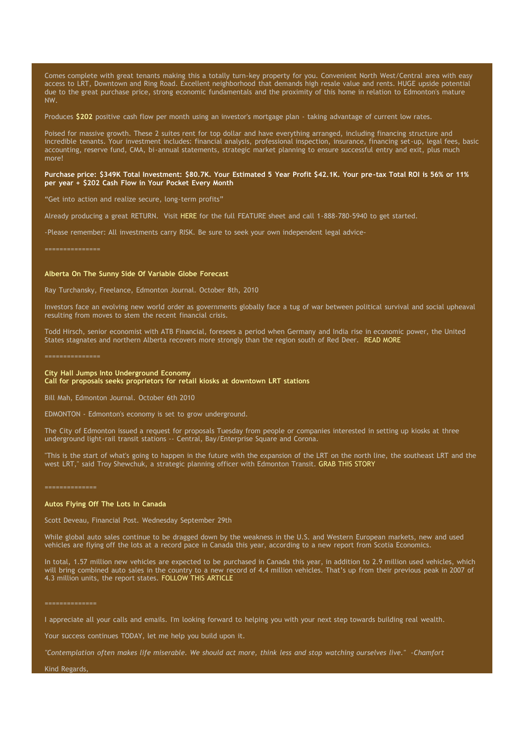Comes complete with great tenants making this a totally turn-key property for you. Convenient North West/Central area with easy access to LRT, Downtown and Ring Road. Excellent neighborhood that demands high resale value and rents. HUGE upside potential due to the great purchase price, strong economic fundamentals and the proximity of this home in relation to Edmonton's mature NW.

Produces **[\\$202](http://www.glennsimoninc.com/featured_detail.php?id=75)** positive cash flow per month using an investor's mortgage plan - taking advantage of current low rates.

Poised for massive growth. These 2 suites rent for top dollar and have everything arranged, including financing structure and incredible tenants. Your investment includes: financial analysis, professional inspection, insurance, financing set-up, legal fees, basic accounting, reserve fund, CMA, bi-annual statements, strategic market planning to ensure successful entry and exit, plus much more!

#### Purchase price: \$349K Total [Investment:](http://www.glennsimoninc.com/featured_detail.php?id=75) \$80.7K. Your Estimated 5 Year Profit \$42.1K. Your pre-tax Total ROI is 56% or 11% **per year + \$202 Cash Flow in Your Pocket Every Month**

"Get into action and realize secure, long-term profits"

Already producing a great RETURN. Visit [HERE](http://www.glennsimoninc.com/featured_detail.php?id=75) for the full FEATURE sheet and call 1-888-780-5940 to get started.

-Please remember: All investments carry RISK. Be sure to seek your own independent legal advice-

#### **Alberta On The Sunny Side Of Variable Globe Forecast**

Ray Turchansky, Freelance, Edmonton Journal. October 8th, 2010

Investors face an evolving new world order as governments globally face a tug of war between political survival and social upheaval resulting from moves to stem the recent financial crisis.

Todd Hirsch, senior economist with ATB Financial, foresees a period when Germany and India rise in economic power, the United States stagnates and northern Alberta recovers more strongly than the region south of Red Deer. READ [MORE](http://www.edmontonjournal.com/business/Northern+Alberta+sunny+side+variable+global+forecast/3642803/story.html)

#### **City Hall Jumps Into Underground Economy Call for proposals seeks proprietors for retail kiosks at downtown LRT stations**

Bill Mah, Edmonton Journal. October 6th 2010

EDMONTON - Edmonton's economy is set to grow underground.

The City of Edmonton issued a request for proposals Tuesday from people or companies interested in setting up kiosks at three underground light-rail transit stations -- Central, Bay/Enterprise Square and Corona.

"This is the start of what's going to happen in the future with the expansion of the LRT on the north line, the southeast LRT and the west LRT," said Troy Shewchuk, a strategic planning officer with Edmonton Transit. GRAB THIS [STORY](http://www.edmontonjournal.com/business/City+hall+jumps+into+underground+economy/3630683/story.html?cid=megadrop_story)

#### ==============

#### **Autos Flying Off The Lots In Canada**

Scott Deveau, Financial Post. Wednesday September 29th

While global auto sales continue to be dragged down by the weakness in the U.S. and Western European markets, new and used vehicles are flying off the lots at a record pace in Canada this year, according to a new report from Scotia Economics.

In total, 1.57 million new vehicles are expected to be purchased in Canada this year, in addition to 2.9 million used vehicles, which will bring combined auto sales in the country to a new record of 4.4 million vehicles. That's up from their previous peak in 2007 of 4.3 million units, the report states. [FOLLOW](http://www.financialpost.com/Autos+flying+lots+Canada/3596133/story.html#ixzz12QwruqeA) THIS ARTICLE

I appreciate all your calls and emails. I'm looking forward to helping you with your next step towards building real wealth.

Your success continues TODAY, let me help you build upon it.

"Contemplation often makes life miserable. We should act more, think less and stop watching ourselves live." - Chamfort

Kind Regards,